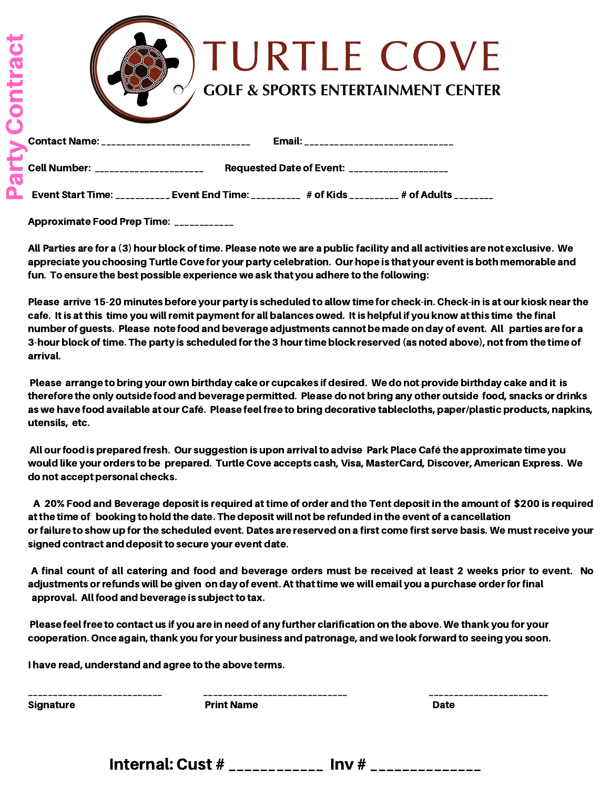| $\overline{\mathbf{c}}$<br>F | <b>ITURTLE COVE</b><br><b>GOLF &amp; SPORTS ENTERTAINMENT CENTER</b><br>$\epsilon$                 |
|------------------------------|----------------------------------------------------------------------------------------------------|
|                              | Email: ________________________________<br>Contact Name: ______________________________            |
|                              | <b>Cell Number: ______________________</b><br>Requested Date of Event: ___________________         |
|                              | Event Start Time: ___________ Event End Time: __________ # of Kids __________ # of Adults ________ |

Approximate Food Prep Time: \_\_\_\_\_\_\_\_\_\_\_\_

All Parties are for a (3) hour block oftime. Please note we are a public facility and all activities are not exclusive. We appreciate you choosing Turtle Cove for your party celebration. Our hope is that your eventis both memorable and fun. To ensure the best possible experience we ask that you adhere to the following:

Please arrive 15-20 minutes before your party is scheduled to allow time for check-in. Check-in is at our kiosk nearthe cafe. It is at this time you will remit payment for all balances owed. It is helpful if you know at this time the final number of guests. Please note food and beverage adjustments cannot be made on day of event. All parties are for a 3-hour block of time. The party is scheduled for the 3 hour time block reserved (as noted above), not from the time of arrival.

Please arrange to bring your own birthday cake or cupcakes if desired. We do not provide birthday cake and it is therefore the only outside food and beverage permitted. Please do not bring any other outside food, snacks or drinks as we have food available at our Café. Please feel free to bring decorative tablecloths, paper/plastic products, napkins, utensils, etc.

All our food is prepared fresh. Our suggestion is upon arrival to advise Park Place Café the approximate time you would like your orders to be prepared. Turtle Cove accepts cash, Visa, MasterCard, Discover, American Express. We do not accept personal checks.

A 20% Food and Beverage deposit is required at time of order and the Tent deposit in the amount of \$200 is required atthe time of booking to hold the date. The deposit will not be refunded in the event of a cancellation or failure to show up for the scheduled event. Dates are reserved on a first come first serve basis. We must receive your signed contract and deposit to secure your event date.

A final count of all catering and food and beverage orders must be received at least 2 weeks prior to event. No adjustments or refunds will be given on day of event. At that time we will email you a purchase order for final approval. All food and beverage is subject to tax.

Please feel free to contact us if you are in need of any further clarification on the above. We thank you for your cooperation. Once again,thank you for your business and patronage, and we look forward to seeing you soon.

I have read, understand and agree to the above terms.

| __________       | -------------------------------- | ------------------------ |
|------------------|----------------------------------|--------------------------|
| <b>Signature</b> | <b>Print Name</b>                | <b>Date</b>              |
|                  |                                  |                          |
|                  |                                  |                          |

Internal: Cust  $#$  \_\_\_\_\_\_\_\_\_\_\_\_\_\_ Inv  $#$  \_\_\_\_\_\_\_\_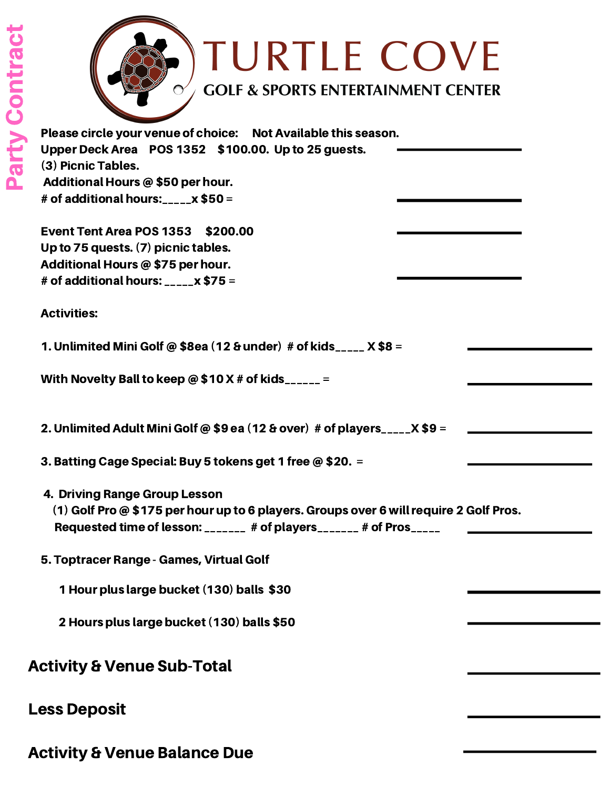

| Please circle your venue of choice: Not Available this season.                         |  |
|----------------------------------------------------------------------------------------|--|
| Upper Deck Area POS 1352 \$100.00. Up to 25 guests.                                    |  |
| (3) Picnic Tables.                                                                     |  |
| Additional Hours @ \$50 per hour.                                                      |  |
| # of additional hours: $\frac{1}{2}$ = $\frac{1}{2}$ \$50 =                            |  |
| <b>Event Tent Area POS 1353 \$200.00</b>                                               |  |
| Up to 75 quests. (7) picnic tables.                                                    |  |
| Additional Hours @ \$75 per hour.                                                      |  |
| # of additional hours: _____ x \$75 =                                                  |  |
| <b>Activities:</b>                                                                     |  |
| 1. Unlimited Mini Golf @ \$8ea (12 & under) # of kids_____ $X$ \$8 =                   |  |
| With Novelty Ball to keep @ \$10 X # of kids______ =                                   |  |
| 2. Unlimited Adult Mini Golf @ \$9 ea (12 & over) # of players_____ $X$ \$9 =          |  |
| 3. Batting Cage Special: Buy 5 tokens get 1 free @ \$20. =                             |  |
| 4. Driving Range Group Lesson                                                          |  |
| (1) Golf Pro @ \$175 per hour up to 6 players. Groups over 6 will require 2 Golf Pros. |  |
| Requested time of lesson: _______ # of players_______ # of Pros_____                   |  |
| 5. Toptracer Range - Games, Virtual Golf                                               |  |
| 1 Hour plus large bucket (130) balls \$30                                              |  |
| 2 Hours plus large bucket (130) balls \$50                                             |  |
| <b>Activity &amp; Venue Sub-Total</b>                                                  |  |
| <b>Less Deposit</b>                                                                    |  |
| <b>Activity &amp; Venue Balance Due</b>                                                |  |
|                                                                                        |  |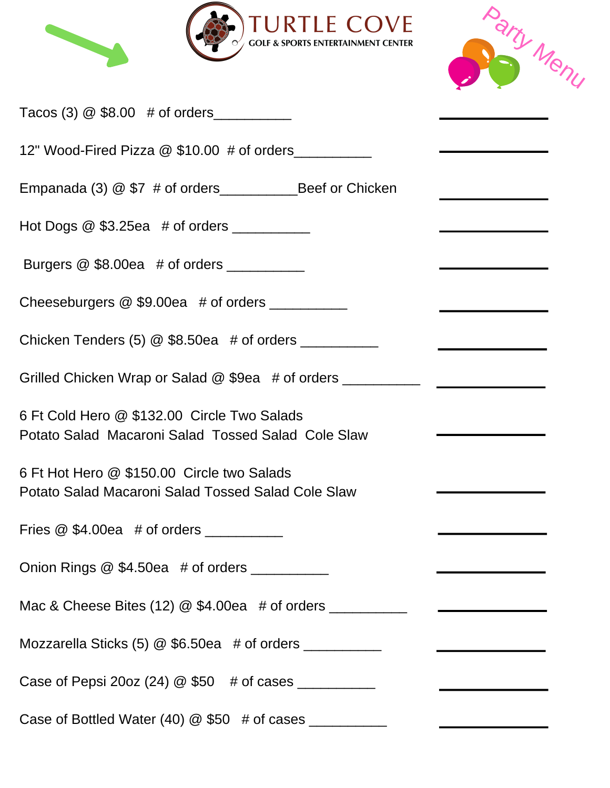



| Tacos (3) $@$ \$8.00 # of orders                                                                  |                                                    |
|---------------------------------------------------------------------------------------------------|----------------------------------------------------|
| 12" Wood-Fired Pizza @ \$10.00 # of orders                                                        |                                                    |
|                                                                                                   |                                                    |
| Hot Dogs $@$ \$3.25ea $#$ of orders $\_\_\_\_\_\_\_\_\_\_\_\_\_\_\_\_\_$                          |                                                    |
| Burgers $@$ \$8.00ea # of orders ______________                                                   |                                                    |
| Cheeseburgers @ \$9.00ea # of orders __________                                                   |                                                    |
| Chicken Tenders (5) $@$ \$8.50ea # of orders                                                      |                                                    |
| Grilled Chicken Wrap or Salad @ \$9ea # of orders _______________________________                 |                                                    |
| 6 Ft Cold Hero @ \$132.00 Circle Two Salads<br>Potato Salad Macaroni Salad Tossed Salad Cole Slaw |                                                    |
| 6 Ft Hot Hero @ \$150.00 Circle two Salads<br>Potato Salad Macaroni Salad Tossed Salad Cole Slaw  |                                                    |
| Fries $@$ \$4.00ea $#$ of orders $\_\_\_\_\_\_\_\_\_\_\_\_\_\_\_\_\_\_\_$                         |                                                    |
| Onion Rings @ \$4.50ea # of orders ___________                                                    |                                                    |
| Mac & Cheese Bites (12) @ \$4.00ea # of orders __________________________________                 |                                                    |
|                                                                                                   | <u> 1980 - John Stein, Amerikaansk politiker (</u> |
|                                                                                                   |                                                    |
| Case of Bottled Water (40) $@$ \$50 # of cases                                                    |                                                    |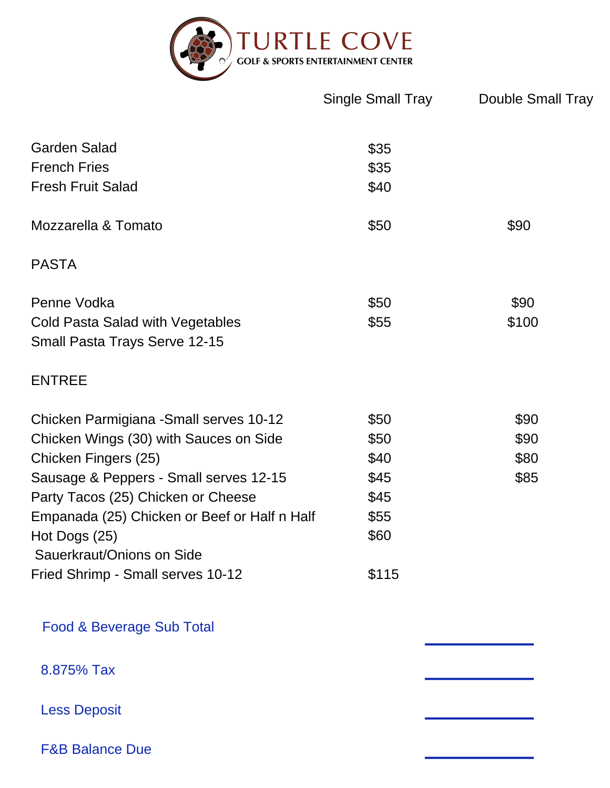

|                                                                   | Single Small Tray | <b>Double Small Tray</b> |
|-------------------------------------------------------------------|-------------------|--------------------------|
| <b>Garden Salad</b>                                               | \$35              |                          |
| <b>French Fries</b>                                               | \$35              |                          |
| <b>Fresh Fruit Salad</b>                                          | \$40              |                          |
| Mozzarella & Tomato                                               | \$50              | \$90                     |
| <b>PASTA</b>                                                      |                   |                          |
| Penne Vodka                                                       | \$50              | \$90                     |
| Cold Pasta Salad with Vegetables<br>Small Pasta Trays Serve 12-15 | \$55              | \$100                    |
| <b>ENTREE</b>                                                     |                   |                          |
| Chicken Parmigiana - Small serves 10-12                           | \$50              | \$90                     |
| Chicken Wings (30) with Sauces on Side                            | \$50              | \$90                     |
| Chicken Fingers (25)                                              | \$40              | \$80                     |
| Sausage & Peppers - Small serves 12-15                            | \$45              | \$85                     |
| Party Tacos (25) Chicken or Cheese                                | \$45              |                          |
| Empanada (25) Chicken or Beef or Half n Half                      | \$55              |                          |
| Hot Dogs (25)                                                     | \$60              |                          |
| Sauerkraut/Onions on Side<br>Fried Shrimp - Small serves 10-12    | \$115             |                          |
| Food & Beverage Sub Total                                         |                   |                          |
| 8.875% Tax                                                        |                   |                          |
| <b>Less Deposit</b>                                               |                   |                          |
| <b>F&amp;B Balance Due</b>                                        |                   |                          |